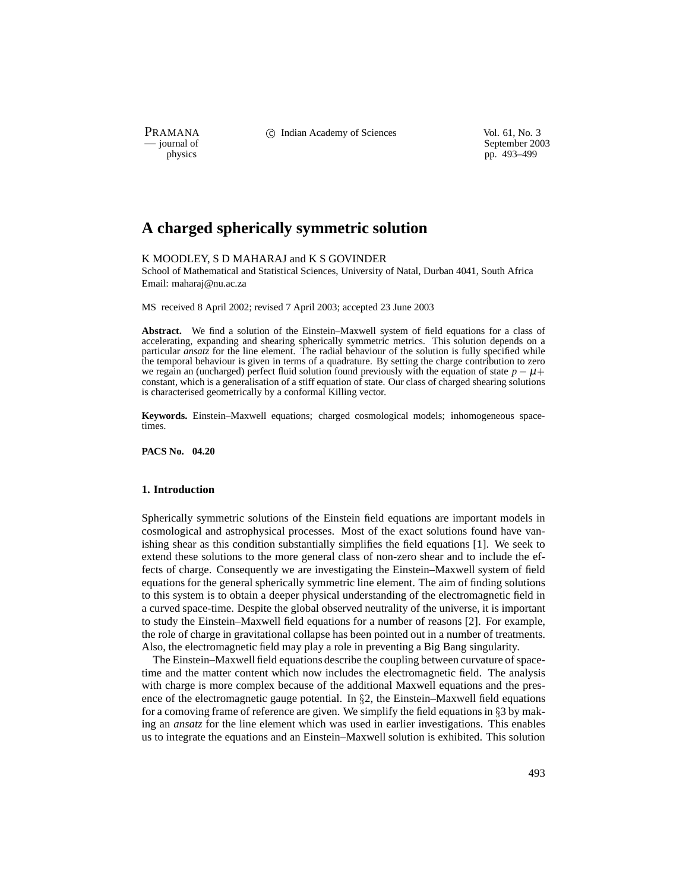PRAMANA C Indian Academy of Sciences Vol. 61, No. 3<br>
— journal of September 200

physics<br>
a general of September 2003<br>
pp. 493–499<br>
pp. 493–499 pp. 493-499

# **A charged spherically symmetric solution**

# K MOODLEY, S D MAHARAJ and K S GOVINDER

School of Mathematical and Statistical Sciences, University of Natal, Durban 4041, South Africa Email: maharaj@nu.ac.za

MS received 8 April 2002; revised 7 April 2003; accepted 23 June 2003

**Abstract.** We find a solution of the Einstein–Maxwell system of field equations for a class of accelerating, expanding and shearing spherically symmetric metrics. This solution depends on a particular *ansatz* for the line element. The radial behaviour of the solution is fully specified while the temporal behaviour is given in terms of a quadrature. By setting the charge contribution to zero we regain an (uncharged) perfect fluid solution found previously with the equation of state  $p = \mu +$ constant, which is a generalisation of a stiff equation of state. Our class of charged shearing solutions is characterised geometrically by a conformal Killing vector.

**Keywords.** Einstein–Maxwell equations; charged cosmological models; inhomogeneous spacetimes.

**PACS No. 04.20**

## **1. Introduction**

Spherically symmetric solutions of the Einstein field equations are important models in cosmological and astrophysical processes. Most of the exact solutions found have vanishing shear as this condition substantially simplifies the field equations [1]. We seek to extend these solutions to the more general class of non-zero shear and to include the effects of charge. Consequently we are investigating the Einstein–Maxwell system of field equations for the general spherically symmetric line element. The aim of finding solutions to this system is to obtain a deeper physical understanding of the electromagnetic field in a curved space-time. Despite the global observed neutrality of the universe, it is important to study the Einstein–Maxwell field equations for a number of reasons [2]. For example, the role of charge in gravitational collapse has been pointed out in a number of treatments. Also, the electromagnetic field may play a role in preventing a Big Bang singularity.

The Einstein–Maxwell field equations describe the coupling between curvature of spacetime and the matter content which now includes the electromagnetic field. The analysis with charge is more complex because of the additional Maxwell equations and the presence of the electromagnetic gauge potential. In  $\S2$ , the Einstein–Maxwell field equations for a comoving frame of reference are given. We simplify the field equations in  $\S$ 3 by making an *ansatz* for the line element which was used in earlier investigations. This enables us to integrate the equations and an Einstein–Maxwell solution is exhibited. This solution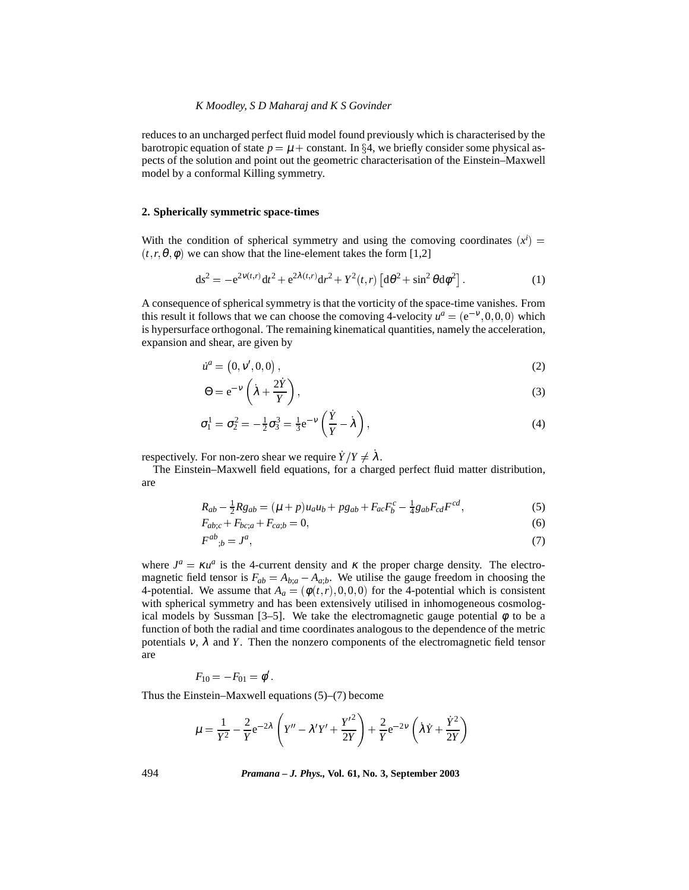reduces to an uncharged perfect fluid model found previously which is characterised by the barotropic equation of state  $p = \mu + \text{constant}$ . In §4, we briefly consider some physical aspects of the solution and point out the geometric characterisation of the Einstein–Maxwell model by a conformal Killing symmetry.

### **2. Spherically symmetric space-times**

With the condition of spherical symmetry and using the comoving coordinates  $(x^{i})$  =  $(r, r, \theta, \phi)$  we can show that the line-element takes the form [1,2]

$$
ds^{2} = -e^{2\nu(t,r)}dt^{2} + e^{2\lambda(t,r)}dr^{2} + Y^{2}(t,r)\left[d\theta^{2} + \sin^{2}\theta d\phi^{2}\right].
$$
 (1)

A consequence of spherical symmetry is that the vorticity of the space-time vanishes. From this result it follows that we can choose the comoving 4-velocity  $u^a = (e^{-v}, 0, 0, 0)$  which is hypersurface orthogonal. The remaining kinematical quantities, namely the acceleration, expansion and shear, are given by

$$
\dot{u}^a = (0, v', 0, 0), \tag{2}
$$

$$
\Theta = e^{-\nu} \left( \dot{\lambda} + \frac{2\dot{Y}}{Y} \right),\tag{3}
$$

$$
\sigma_1^1 = \sigma_2^2 = -\frac{1}{2}\sigma_3^3 = \frac{1}{3}e^{-\nu}\left(\frac{\dot{Y}}{Y} - \dot{\lambda}\right),\tag{4}
$$

respectively. For non-zero shear we require  $\dot{Y}/Y \neq \dot{\lambda}$ .

The Einstein–Maxwell field equations, for a charged perfect fluid matter distribution, are

$$
R_{ab} - \frac{1}{2}Rg_{ab} = (\mu + p)u_a u_b + pg_{ab} + F_{ac}F_b^c - \frac{1}{4}g_{ab}F_{cd}F^{cd},
$$
\n(5)

$$
F_{ab;c} + F_{bc;a} + F_{ca;b} = 0,\t\t(6)
$$

$$
F^{ab}_{\quad b} = J^a,\tag{7}
$$

where  $J^a = \kappa u^a$  is the 4-current density and  $\kappa$  the proper charge density. The electromagnetic field tensor is  $F_{ab} = A_{b;a} - A_{a;b}$ . We utilise the gauge freedom in choosing the 4-potential. We assume that  $A_a = (\phi(t,r), 0, 0, 0)$  for the 4-potential which is consistent with spherical symmetry and has been extensively utilised in inhomogeneous cosmological models by Sussman [3–5]. We take the electromagnetic gauge potential  $\phi$  to be a function of both the radial and time coordinates analogous to the dependence of the metric potentials  $v$ ,  $\lambda$  and  $Y$ . Then the nonzero components of the electromagnetic field tensor are

$$
F_{10}=-F_{01}=\phi^\prime.
$$

Thus the Einstein–Maxwell equations (5)–(7) become

$$
\mu = \frac{1}{Y^2} - \frac{2}{Y} e^{-2\lambda} \left( Y'' - \lambda' Y' + \frac{Y'^2}{2Y} \right) + \frac{2}{Y} e^{-2V} \left( \lambda Y + \frac{\dot{Y}^2}{2Y} \right)
$$

494 *Pramana – J. Phys.,* **Vol. 61, No. 3, September 2003**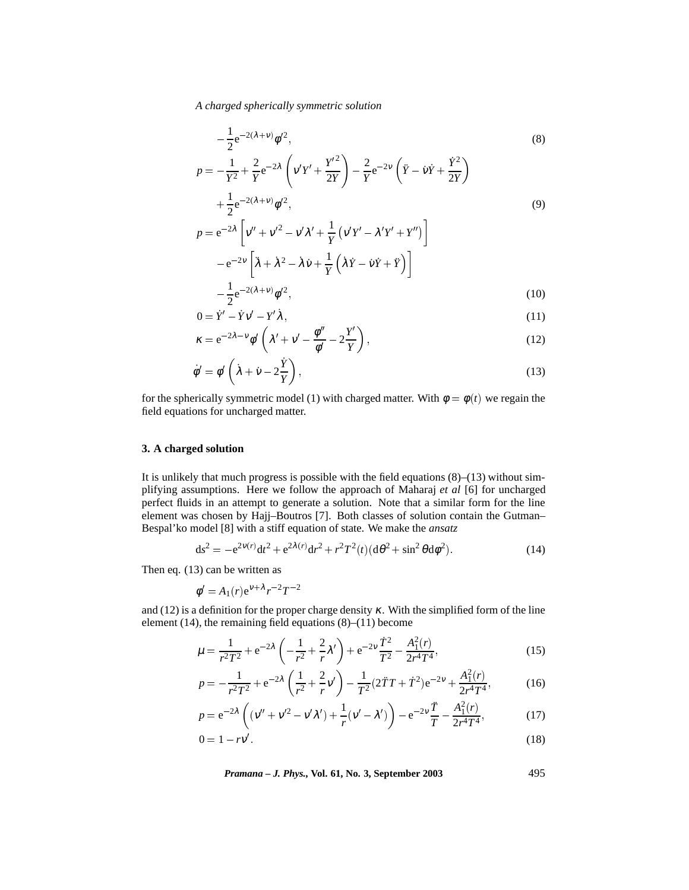*A charged spherically symmetric solution*

$$
-\frac{1}{2}e^{-2(\lambda+v)}\phi'^2,
$$
\n
$$
p = -\frac{1}{Y^2} + \frac{2}{Y}e^{-2\lambda}\left(v'Y' + \frac{Y'^2}{2Y}\right) - \frac{2}{Y}e^{-2V}\left(\ddot{Y} - \dot{V}\dot{Y} + \frac{\dot{Y}^2}{2Y}\right)
$$
\n
$$
+\frac{1}{2}e^{-2(\lambda+v)}\phi'^2,
$$
\n
$$
p = e^{-2\lambda}\left[v'' + v'^2 - v'\lambda' + \frac{1}{Y}(v'Y' - \lambda'Y' + Y'')\right]
$$
\n
$$
-e^{-2V}\left[\ddot{\lambda} + \dot{\lambda}^2 - \dot{\lambda}\dot{V} + \frac{1}{Y}(\dot{\lambda}\dot{Y} - \dot{V}\dot{Y} + \ddot{Y})\right]
$$
\n
$$
-\frac{1}{2}e^{-2(\lambda+v)}\phi'^2,
$$
\n(10)

$$
0 = \dot{Y}' - \dot{Y}v' - Y'\dot{\lambda},\tag{11}
$$

$$
\kappa = e^{-2\lambda - \nu} \phi' \left( \lambda' + \nu' - \frac{\phi''}{\phi'} - 2\frac{Y'}{Y} \right),\tag{12}
$$

$$
\dot{\phi}' = \phi' \left( \dot{\lambda} + \dot{v} - 2\frac{\dot{Y}}{Y} \right),\tag{13}
$$

for the spherically symmetric model (1) with charged matter. With  $\phi = \phi(t)$  we regain the field equations for uncharged matter.

# **3. A charged solution**

It is unlikely that much progress is possible with the field equations  $(8)$ – $(13)$  without simplifying assumptions. Here we follow the approach of Maharaj *et al* [6] for uncharged perfect fluids in an attempt to generate a solution. Note that a similar form for the line element was chosen by Hajj–Boutros [7]. Both classes of solution contain the Gutman– Bespal'ko model [8] with a stiff equation of state. We make the *ansatz*

$$
ds^{2} = -e^{2\nu(r)}dt^{2} + e^{2\lambda(r)}dr^{2} + r^{2}T^{2}(t)(d\theta^{2} + \sin^{2}\theta d\phi^{2}).
$$
\n(14)

Then eq. (13) can be written as

$$
\phi' = A_1(r) e^{\nu + \lambda} r^{-2} T^{-2}
$$

and (12) is a definition for the proper charge density  $\kappa$ . With the simplified form of the line element (14), the remaining field equations  $(8)$ – $(11)$  become

$$
\mu = \frac{1}{r^2 T^2} + e^{-2\lambda} \left( -\frac{1}{r^2} + \frac{2}{r} \lambda' \right) + e^{-2\nu} \frac{\dot{T}^2}{T^2} - \frac{A_1^2(r)}{2r^4 T^4},\tag{15}
$$

$$
p = -\frac{1}{r^2 T^2} + e^{-2\lambda} \left(\frac{1}{r^2} + \frac{2}{r} v'\right) - \frac{1}{T^2} (2\ddot{T}T + \dot{T}^2) e^{-2v} + \frac{A_1^2(r)}{2r^4 T^4},\tag{16}
$$

$$
p = e^{-2\lambda} \left( (v'' + v'^2 - v'\lambda') + \frac{1}{r} (v' - \lambda') \right) - e^{-2\nu} \frac{\ddot{T}}{T} - \frac{A_1^2(r)}{2r^4T^4},
$$
(17)

$$
0 = 1 - r v'
$$
\n<sup>(18)</sup>

*Pramana – J. Phys.,* **Vol. 61, No. 3, September 2003** 495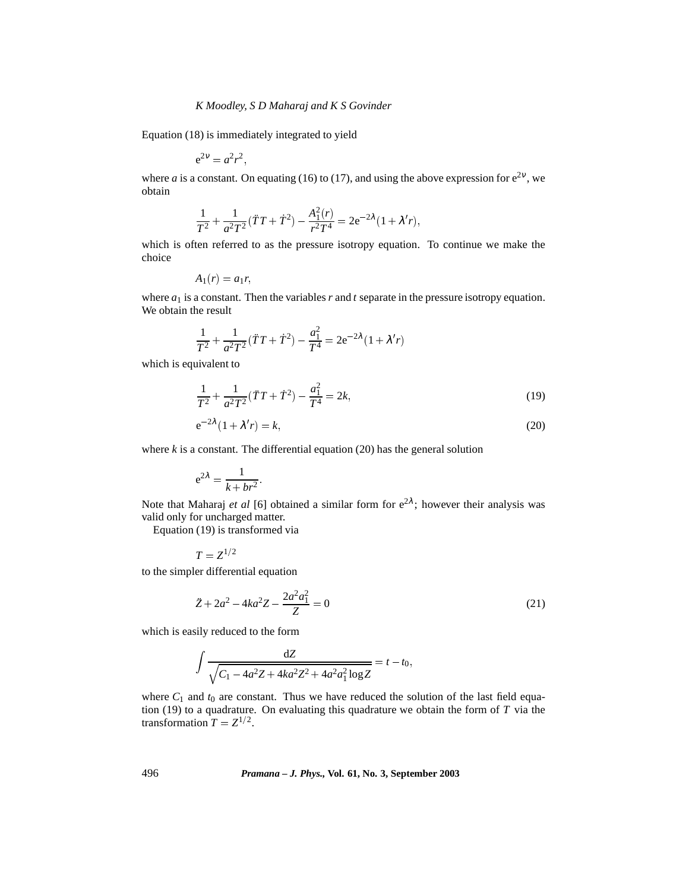Equation (18) is immediately integrated to yield

$$
e^{2\nu} = a^2 r^2,
$$

where *a* is a constant. On equating (16) to (17), and using the above expression for  $e^{2v}$ , we obtain

$$
\frac{1}{T^2} + \frac{1}{a^2 T^2} (\ddot{T} T + \dot{T}^2) - \frac{A_1^2(r)}{r^2 T^4} = 2e^{-2\lambda} (1 + \lambda' r),
$$

which is often referred to as the pressure isotropy equation. To continue we make the choice

$$
A_1(r)=a_1r,
$$

where  $a_1$  is a constant. Then the variables  $r$  and  $t$  separate in the pressure isotropy equation. We obtain the result

$$
\frac{1}{T^2} + \frac{1}{a^2 T^2} (\ddot{T} T + \dot{T}^2) - \frac{a_1^2}{T^4} = 2e^{-2\lambda} (1 + \lambda' r)
$$

which is equivalent to

$$
\frac{1}{T^2} + \frac{1}{a^2 T^2} (\ddot{T} T + \dot{T}^2) - \frac{a_1^2}{T^4} = 2k,\tag{19}
$$

$$
e^{-2\lambda}(1+\lambda'r) = k,\tag{20}
$$

where  $k$  is a constant. The differential equation  $(20)$  has the general solution

$$
e^{2\lambda} = \frac{1}{k + br^2}.
$$

Note that Maharaj *et al* [6] obtained a similar form for  $e^{2\lambda}$ ; however their analysis was valid only for uncharged matter.

Equation (19) is transformed via

$$
T=Z^{1/2}
$$

to the simpler differential equation

$$
\ddot{Z} + 2a^2 - 4ka^2Z - \frac{2a^2a_1^2}{Z} = 0\tag{21}
$$

which is easily reduced to the form

$$
\int \frac{dZ}{\sqrt{C_1 - 4a^2 Z + 4ka^2 Z^2 + 4a^2 a_1^2 \log Z}} = t - t_0,
$$

where  $C_1$  and  $t_0$  are constant. Thus we have reduced the solution of the last field equation (19) to a quadrature. On evaluating this quadrature we obtain the form of *T* via the transformation  $T = Z^{1/2}$ .

496 *Pramana – J. Phys.,* **Vol. 61, No. 3, September 2003**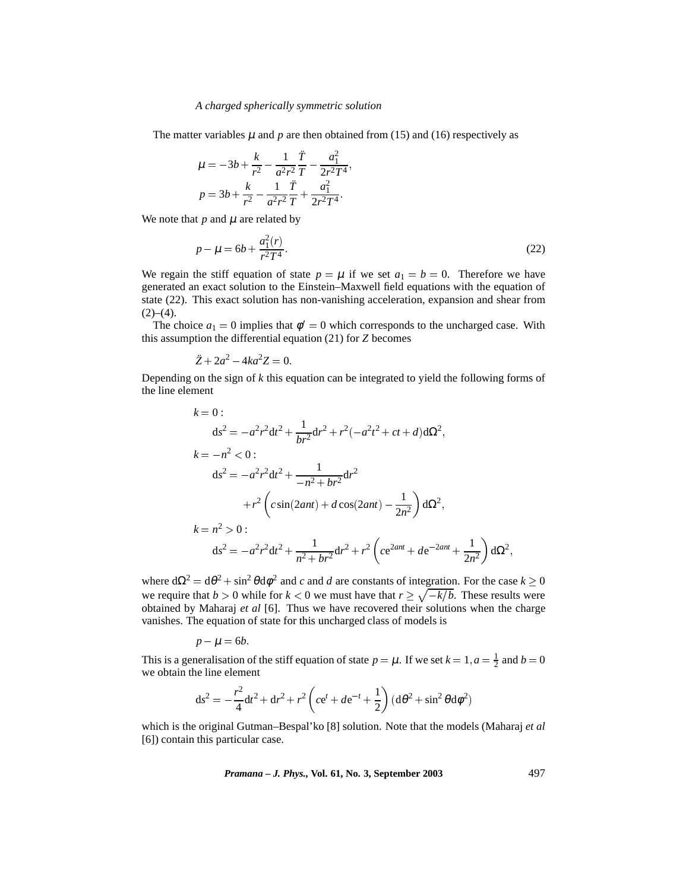#### *A charged spherically symmetric solution*

The matter variables  $\mu$  and  $p$  are then obtained from (15) and (16) respectively as

$$
\mu = -3b + \frac{k}{r^2} - \frac{1}{a^2r^2} \frac{\ddot{T}}{T} - \frac{a_1^2}{2r^2T^4},
$$
  

$$
p = 3b + \frac{k}{r^2} - \frac{1}{a^2r^2} \frac{\ddot{T}}{T} + \frac{a_1^2}{2r^2T^4}.
$$

We note that  $p$  and  $\mu$  are related by

$$
p - \mu = 6b + \frac{a_1^2(r)}{r^2 T^4}.
$$
 (22)

We regain the stiff equation of state  $p = \mu$  if we set  $a_1 = b = 0$ . Therefore we have generated an exact solution to the Einstein–Maxwell field equations with the equation of state (22). This exact solution has non-vanishing acceleration, expansion and shear from  $(2)–(4)$ .

The choice  $a_1 = 0$  implies that  $\phi' = 0$  which corresponds to the uncharged case. With this assumption the differential equation (21) for *Z* becomes

$$
\ddot{Z} + 2a^2 - 4ka^2 Z = 0.
$$

Depending on the sign of *k* this equation can be integrated to yield the following forms of the line element

$$
k = 0:
$$
  
\n
$$
ds^{2} = -a^{2}r^{2}dt^{2} + \frac{1}{br^{2}}dr^{2} + r^{2}(-a^{2}t^{2} + ct + d)d\Omega^{2},
$$
  
\n
$$
k = -n^{2} < 0:
$$
  
\n
$$
ds^{2} = -a^{2}r^{2}dt^{2} + \frac{1}{-n^{2} + br^{2}}dr^{2}
$$
  
\n
$$
+r^{2}\left(c\sin(2ant) + d\cos(2ant) - \frac{1}{2n^{2}}\right)d\Omega^{2},
$$
  
\n
$$
k = n^{2} > 0:
$$
  
\n
$$
ds^{2} = -a^{2}r^{2}dt^{2} + \frac{1}{n^{2} + br^{2}}dr^{2} + r^{2}\left(ce^{2ant} + de^{-2ant} + \frac{1}{2n^{2}}\right)d\Omega^{2},
$$

where  $d\Omega^2 = d\theta^2 + \sin^2 \theta d\phi^2$  and *c* and *d* are constants of integration. For the case  $k \ge 0$ we require that  $b > 0$  while for  $k < 0$  we must have that  $r \geq \sqrt{-k/b}$ . These results were obtained by Maharaj *et al* [6]. Thus we have recovered their solutions when the charge vanishes. The equation of state for this uncharged class of models is

$$
p - \mu = 6b.
$$

This is a generalisation of the stiff equation of state  $p = \mu$ . If we set  $k = 1, a = \frac{1}{2}$  and  $b = 0$ we obtain the line element

$$
ds^{2} = -\frac{r^{2}}{4}dt^{2} + dr^{2} + r^{2} \left( ce^{t} + de^{-t} + \frac{1}{2} \right) (d\theta^{2} + \sin^{2} \theta d\phi^{2})
$$

which is the original Gutman–Bespal'ko [8] solution. Note that the models (Maharaj *et al* [6]) contain this particular case.

*Pramana – J. Phys.,* **Vol. 61, No. 3, September 2003** 497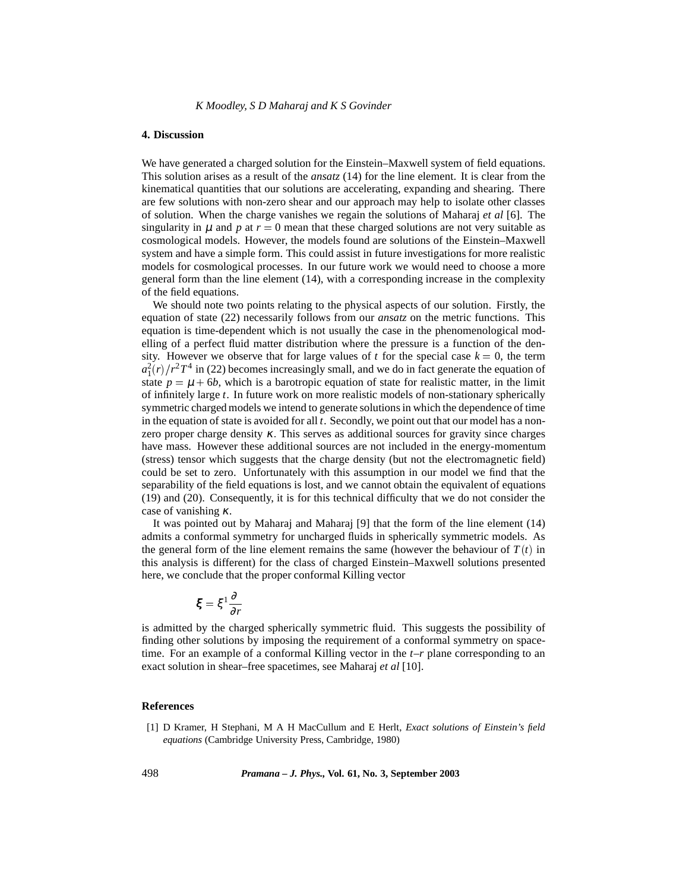## **4. Discussion**

We have generated a charged solution for the Einstein–Maxwell system of field equations. This solution arises as a result of the *ansatz* (14) for the line element. It is clear from the kinematical quantities that our solutions are accelerating, expanding and shearing. There are few solutions with non-zero shear and our approach may help to isolate other classes of solution. When the charge vanishes we regain the solutions of Maharaj *et al* [6]. The singularity in  $\mu$  and  $p$  at  $r = 0$  mean that these charged solutions are not very suitable as cosmological models. However, the models found are solutions of the Einstein–Maxwell system and have a simple form. This could assist in future investigations for more realistic models for cosmological processes. In our future work we would need to choose a more general form than the line element (14), with a corresponding increase in the complexity of the field equations.

We should note two points relating to the physical aspects of our solution. Firstly, the equation of state (22) necessarily follows from our *ansatz* on the metric functions. This equation is time-dependent which is not usually the case in the phenomenological modelling of a perfect fluid matter distribution where the pressure is a function of the density. However we observe that for large values of *t* for the special case  $k = 0$ , the term  $a_1^2(r)/r^2T^4$  in (22) becomes increasingly small, and we do in fact generate the equation of state  $p = \mu + 6b$ , which is a barotropic equation of state for realistic matter, in the limit of infinitely large *t*. In future work on more realistic models of non-stationary spherically symmetric charged models we intend to generate solutions in which the dependence of time in the equation of state is avoided for all *t*. Secondly, we point out that our model has a nonzero proper charge density  $\kappa$ . This serves as additional sources for gravity since charges have mass. However these additional sources are not included in the energy-momentum (stress) tensor which suggests that the charge density (but not the electromagnetic field) could be set to zero. Unfortunately with this assumption in our model we find that the separability of the field equations is lost, and we cannot obtain the equivalent of equations (19) and (20). Consequently, it is for this technical difficulty that we do not consider the case of vanishing  $\kappa$ .

It was pointed out by Maharaj and Maharaj [9] that the form of the line element (14) admits a conformal symmetry for uncharged fluids in spherically symmetric models. As the general form of the line element remains the same (however the behaviour of  $T(t)$  in this analysis is different) for the class of charged Einstein–Maxwell solutions presented here, we conclude that the proper conformal Killing vector

$$
\xi = \xi^1 \frac{\partial}{\partial r}
$$

is admitted by the charged spherically symmetric fluid. This suggests the possibility of finding other solutions by imposing the requirement of a conformal symmetry on spacetime. For an example of a conformal Killing vector in the *t*–*r* plane corresponding to an exact solution in shear–free spacetimes, see Maharaj *et al* [10].

## **References**

[1] D Kramer, H Stephani, M A H MacCullum and E Herlt, *Exact solutions of Einstein's field equations* (Cambridge University Press, Cambridge, 1980)

498 *Pramana – J. Phys.,* **Vol. 61, No. 3, September 2003**